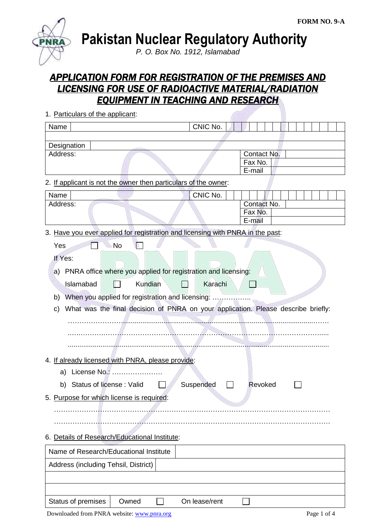

**Pakistan Nuclear Regulatory Authority**

*P. O. Box No. 1912, Islamabad*

# *APPLICATION FORM FOR REGISTRATION OF THE PREMISES AND LICENSING FOR USE OF RADIOACTIVE MATERIAL/RADIATION EQUIPMENT IN TEACHING AND RESEARCH*

| 1. Particulars of the applicant:                                                        |               |                   |
|-----------------------------------------------------------------------------------------|---------------|-------------------|
| Name                                                                                    | CNIC No.      |                   |
|                                                                                         |               |                   |
| Designation                                                                             |               |                   |
| Address:                                                                                |               | Contact No.       |
|                                                                                         |               | Fax No.<br>E-mail |
| 2. If applicant is not the owner then particulars of the owner:                         |               |                   |
| Name                                                                                    | CNIC No.      |                   |
| Address:                                                                                |               | Contact No.       |
|                                                                                         |               | Fax No.           |
|                                                                                         |               | E-mail            |
| 3. Have you ever applied for registration and licensing with PNRA in the past:          |               |                   |
| <b>No</b><br>Yes                                                                        |               |                   |
| If Yes:                                                                                 |               |                   |
| PNRA office where you applied for registration and licensing:<br>a)                     |               |                   |
| Islamabad<br>Kundian                                                                    | Karachi       |                   |
| When you applied for registration and licensing:<br>b)                                  |               |                   |
| What was the final decision of PNRA on your application. Please describe briefly:<br>C) |               |                   |
|                                                                                         |               |                   |
|                                                                                         |               |                   |
|                                                                                         |               |                   |
| 4. If already licensed with PNRA, please provide:                                       |               |                   |
| License No.:<br>a)                                                                      |               |                   |
| b) Status of license: Valid                                                             | Suspended     | Revoked           |
| 5. Purpose for which license is required:                                               |               |                   |
|                                                                                         |               |                   |
|                                                                                         |               |                   |
|                                                                                         |               |                   |
| 6. Details of Research/Educational Institute:                                           |               |                   |
| Name of Research/Educational Institute                                                  |               |                   |
| Address (including Tehsil, District)                                                    |               |                   |
|                                                                                         |               |                   |
|                                                                                         |               |                   |
| Status of premises<br>Owned                                                             | On lease/rent |                   |

Downloaded from PNRA website: [www.pnra.org](http://www.pnra.org/) Page 1 of 4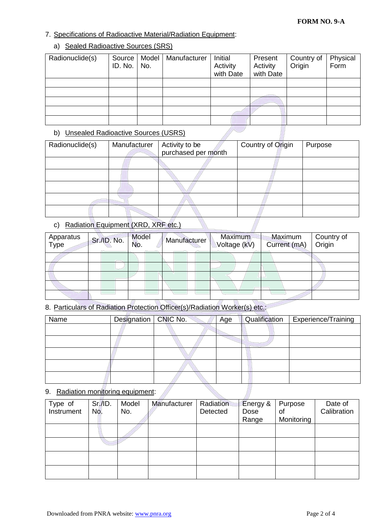#### 7. Specifications of Radioactive Material/Radiation Equipment:

### a) Sealed Radioactive Sources (SRS)

| Radionuclide(s) | Source<br>ID. No. | Model  <br>No. | Manufacturer | Initial<br>Activity<br>with Date | Present<br>Activity<br>with Date | Country of<br>Origin | Physical<br>Form |
|-----------------|-------------------|----------------|--------------|----------------------------------|----------------------------------|----------------------|------------------|
|                 |                   |                |              |                                  |                                  |                      |                  |
|                 |                   |                |              |                                  |                                  |                      |                  |
|                 |                   |                |              |                                  |                                  |                      |                  |
|                 |                   |                |              |                                  |                                  |                      |                  |
|                 |                   |                |              |                                  |                                  |                      |                  |

#### b) Unsealed Radioactive Sources (USRS)

| Radionuclide(s) | Manufacturer | Activity to be<br>purchased per month | Country of Origin | Purpose |
|-----------------|--------------|---------------------------------------|-------------------|---------|
|                 |              |                                       |                   |         |
|                 |              |                                       |                   |         |
|                 |              |                                       |                   |         |
|                 |              |                                       |                   |         |
|                 |              |                                       |                   |         |

### c) Radiation Equipment (XRD, XRF etc.)

| Apparatus<br>Type | Sr./ID. No. | Model<br>No. | Manufacturer | <b>Maximum</b><br>Voltage (kV) | Maximum<br>Current (mA) | Country of<br>Origin |
|-------------------|-------------|--------------|--------------|--------------------------------|-------------------------|----------------------|
|                   |             |              |              |                                |                         |                      |
|                   |             |              |              |                                |                         |                      |
|                   |             |              |              |                                |                         |                      |
|                   |             |              |              |                                |                         |                      |
|                   |             |              |              |                                |                         |                      |

### 8. Particulars of Radiation Protection Officer(s)/Radiation Worker(s) etc.:

| Name | Designation   CNIC No. | Age | Qualification | Experience/Training |
|------|------------------------|-----|---------------|---------------------|
|      |                        |     |               |                     |
|      |                        |     |               |                     |
|      |                        |     |               |                     |
|      |                        |     |               |                     |
|      |                        |     |               |                     |

## 9. Radiation monitoring equipment:

| Type of    | Sr./ID. | Model | Manufacturer | Radiation | Energy &      | Purpose          | Date of     |
|------------|---------|-------|--------------|-----------|---------------|------------------|-------------|
| Instrument | No.     | No.   |              | Detected  | Dose<br>Range | 0f<br>Monitoring | Calibration |
|            |         |       |              |           |               |                  |             |
|            |         |       |              |           |               |                  |             |
|            |         |       |              |           |               |                  |             |
|            |         |       |              |           |               |                  |             |
|            |         |       |              |           |               |                  |             |
|            |         |       |              |           |               |                  |             |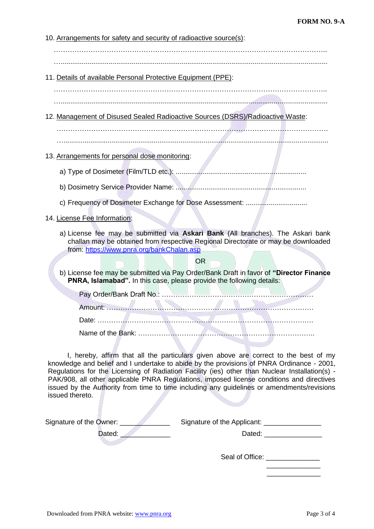10. Arrangements for safety and security of radioactive source(s):

………………………………………………………………………………………………………..

11. Details of available Personal Protective Equipment (PPE):

………………………………………………………………………………………………………..

…...........................................................................................................................................

12. Management of Disused Sealed Radioactive Sources (DSRS)/Radioactive Waste:

………………………………………………………………………………………………………. …..........................................................................................................................................

- 13. Arrangements for personal dose monitoring:
	- a) Type of Dosimeter (Film/TLD etc.): ....................................................................
	- b) Dosimetry Service Provider Name: ....................................................................
	- c) Frequency of Dosimeter Exchange for Dose Assessment: ................................

#### 14. License Fee Information:

a) License fee may be submitted via **Askari Bank** (All branches). The Askari bank challan may be obtained from respective Regional Directorate or may be downloaded from:<https://www.pnra.org/bankChalan.asp>

OR

b) License fee may be submitted via Pay Order/Bank Draft in favor of **"Director Finance PNRA, Islamabad".** In this case, please provide the following details:

Pay Order/Bank Draft No.: ………………………………………………………… Amount: ………………………………………………………………………………

Date: ………………………………………………………………………………….

Name of the Bank: …………………………………………………………………..

I, hereby, affirm that all the particulars given above are correct to the best of my knowledge and belief and I undertake to abide by the provisions of PNRA Ordinance - 2001, Regulations for the Licensing of Radiation Facility (ies) other than Nuclear Installation(s) - PAK/908, all other applicable PNRA Regulations, imposed license conditions and directives issued by the Authority from time to time including any guidelines or amendments/revisions issued thereto.

| Signature of the Owner: | Signature of the Applicant: |
|-------------------------|-----------------------------|
| Dated:                  | Dated:                      |
|                         | Seal of Office:             |

 $\overline{\phantom{a}}$  ,  $\overline{\phantom{a}}$  ,  $\overline{\phantom{a}}$  ,  $\overline{\phantom{a}}$  ,  $\overline{\phantom{a}}$  ,  $\overline{\phantom{a}}$  ,  $\overline{\phantom{a}}$  ,  $\overline{\phantom{a}}$  ,  $\overline{\phantom{a}}$  ,  $\overline{\phantom{a}}$  ,  $\overline{\phantom{a}}$  ,  $\overline{\phantom{a}}$  ,  $\overline{\phantom{a}}$  ,  $\overline{\phantom{a}}$  ,  $\overline{\phantom{a}}$  ,  $\overline{\phantom{a}}$  $\frac{1}{2}$  ,  $\frac{1}{2}$  ,  $\frac{1}{2}$  ,  $\frac{1}{2}$  ,  $\frac{1}{2}$  ,  $\frac{1}{2}$  ,  $\frac{1}{2}$  ,  $\frac{1}{2}$  ,  $\frac{1}{2}$  ,  $\frac{1}{2}$  ,  $\frac{1}{2}$  ,  $\frac{1}{2}$  ,  $\frac{1}{2}$  ,  $\frac{1}{2}$  ,  $\frac{1}{2}$  ,  $\frac{1}{2}$  ,  $\frac{1}{2}$  ,  $\frac{1}{2}$  ,  $\frac{1$